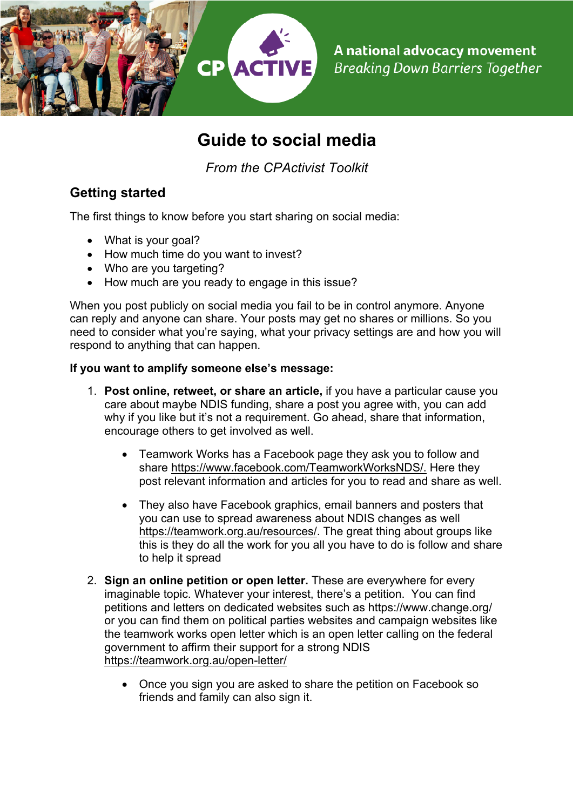

# **Guide to social media**

*From the CPActivist Toolkit*

## **Getting started**

The first things to know before you start sharing on social media:

- What is your goal?
- How much time do you want to invest?
- Who are you targeting?
- How much are you ready to engage in this issue?

When you post publicly on social media you fail to be in control anymore. Anyone can reply and anyone can share. Your posts may get no shares or millions. So you need to consider what you're saying, what your privacy settings are and how you will respond to anything that can happen.

#### **If you want to amplify someone else's message:**

- 1. **Post online, retweet, or share an article,** if you have a particular cause you care about maybe NDIS funding, share a post you agree with, you can add why if you like but it's not a requirement. Go ahead, share that information, encourage others to get involved as well.
	- Teamwork Works has a Facebook page they ask you to follow and share https://www.facebook.com/TeamworkWorksNDS/. Here they post relevant information and articles for you to read and share as well.
	- They also have Facebook graphics, email banners and posters that you can use to spread awareness about NDIS changes as well https://teamwork.org.au/resources/. The great thing about groups like this is they do all the work for you all you have to do is follow and share to help it spread
- 2. **Sign an online petition or open letter.** These are everywhere for every imaginable topic. Whatever your interest, there's a petition. You can find petitions and letters on dedicated websites such as https://www.change.org/ or you can find them on political parties websites and campaign websites like the teamwork works open letter which is an open letter calling on the federal government to affirm their support for a strong NDIS https://teamwork.org.au/open-letter/
	- Once you sign you are asked to share the petition on Facebook so friends and family can also sign it.